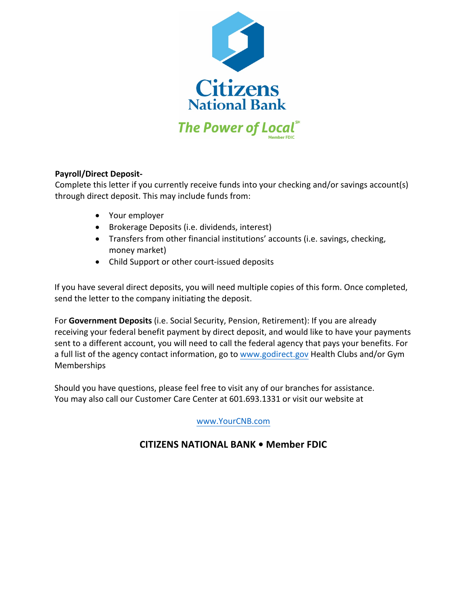

## **Payroll/Direct Deposit-**

Complete this letter if you currently receive funds into your checking and/or savings account(s) through direct deposit. This may include funds from:

- Your employer
- Brokerage Deposits (i.e. dividends, interest)
- Transfers from other financial institutions' accounts (i.e. savings, checking, money market)
- Child Support or other court-issued deposits

If you have several direct deposits, you will need multiple copies of this form. Once completed, send the letter to the company initiating the deposit.

For **Government Deposits** (i.e. Social Security, Pension, Retirement): If you are already receiving your federal benefit payment by direct deposit, and would like to have your payments sent to a different account, you will need to call the federal agency that pays your benefits. For a full list of the agency contact information, go to www.godirect.gov Health Clubs and/or Gym Memberships

Should you have questions, please feel free to visit any of our branches for assistance. You may also call our Customer Care Center at 601.693.1331 or visit our website at

www.YourCNB.com

## **CITIZENS NATIONAL BANK • Member FDIC**